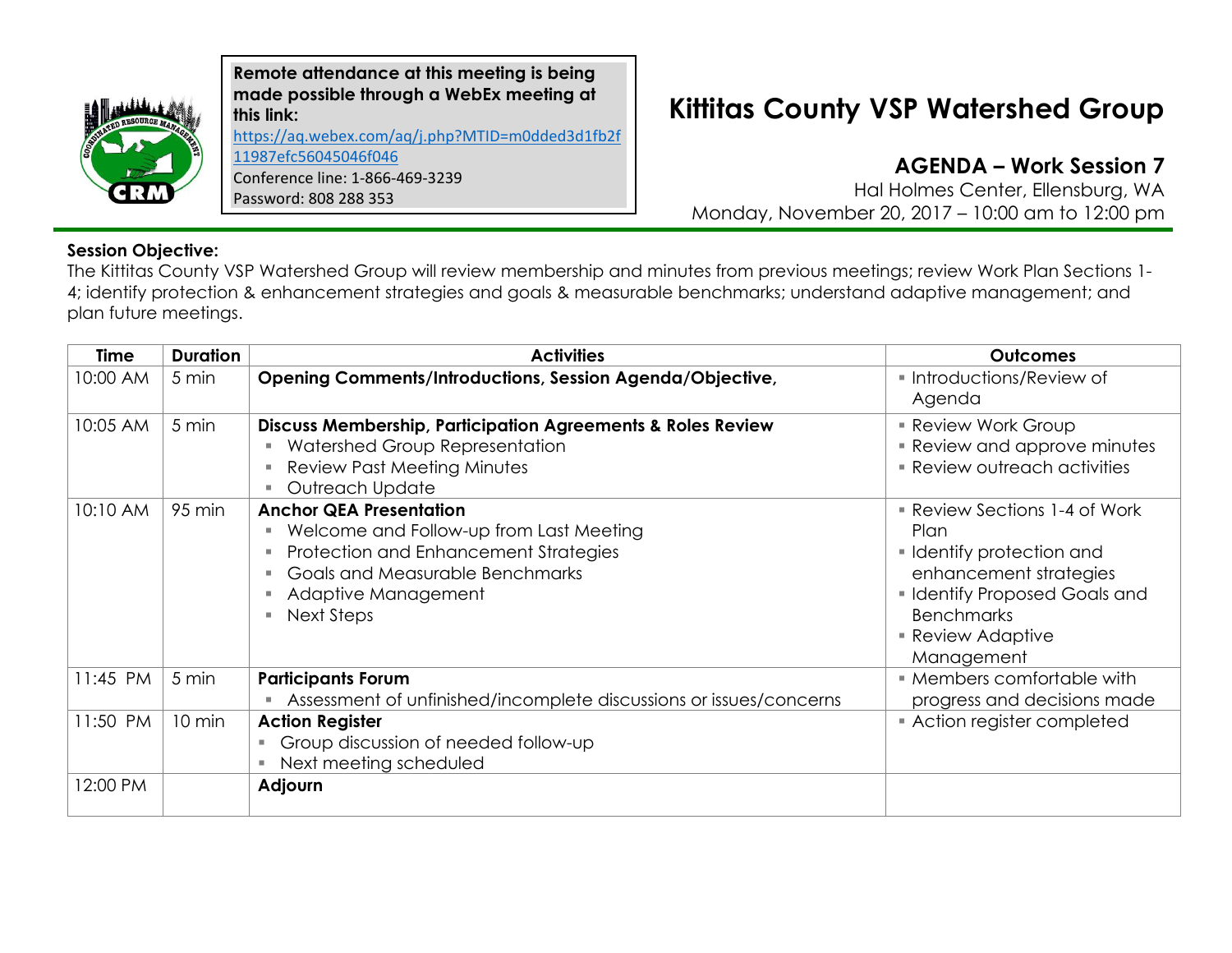

**Remote attendance at this meeting is being made possible through a WebEx meeting at this link:**  [https://aq.webex.com/aq/j.php?MTID=m0dded3d1fb2f](https://aq.webex.com/aq/j.php?MTID=m0dded3d1fb2f11987efc56045046f046) [11987efc56045046f046](https://aq.webex.com/aq/j.php?MTID=m0dded3d1fb2f11987efc56045046f046) Conference line: 1-866-469-3239 Password: 808 288 353

## **Kittitas County VSP Watershed Group**

**AGENDA – Work Session 7**

Hal Holmes Center, Ellensburg, WA Monday, November 20, 2017 – 10:00 am to 12:00 pm

## **Session Objective:**

The Kittitas County VSP Watershed Group will review membership and minutes from previous meetings; review Work Plan Sections 1- 4; identify protection & enhancement strategies and goals & measurable benchmarks; understand adaptive management; and plan future meetings.

| <b>Time</b> | <b>Duration</b> | <b>Activities</b>                                                                                                                                                                          | <b>Outcomes</b>                                                                                                                                                                            |
|-------------|-----------------|--------------------------------------------------------------------------------------------------------------------------------------------------------------------------------------------|--------------------------------------------------------------------------------------------------------------------------------------------------------------------------------------------|
| 10:00 AM    | 5 min           | Opening Comments/Introductions, Session Agenda/Objective,                                                                                                                                  | • Introductions/Review of<br>Agenda                                                                                                                                                        |
| 10:05 AM    | 5 min           | <b>Discuss Membership, Participation Agreements &amp; Roles Review</b><br>Watershed Group Representation<br><b>Review Past Meeting Minutes</b><br>Outreach Update                          | <b>Review Work Group</b><br><b>Review and approve minutes</b><br><b>Review outreach activities</b>                                                                                         |
| 10:10 AM    | 95 min          | <b>Anchor QEA Presentation</b><br>Welcome and Follow-up from Last Meeting<br>Protection and Enhancement Strategies<br>Goals and Measurable Benchmarks<br>Adaptive Management<br>Next Steps | ■ Review Sections 1-4 of Work<br>Plan<br>• Identify protection and<br>enhancement strategies<br>• Identify Proposed Goals and<br><b>Benchmarks</b><br><b>Review Adaptive</b><br>Management |
| 11:45 PM    | 5 min           | <b>Participants Forum</b><br>Assessment of unfinished/incomplete discussions or issues/concerns                                                                                            | • Members comfortable with<br>progress and decisions made                                                                                                                                  |
| 11:50 PM    | 10 min          | <b>Action Register</b><br>Group discussion of needed follow-up<br>٠<br>Next meeting scheduled                                                                                              | Action register completed                                                                                                                                                                  |
| 12:00 PM    |                 | Adjourn                                                                                                                                                                                    |                                                                                                                                                                                            |